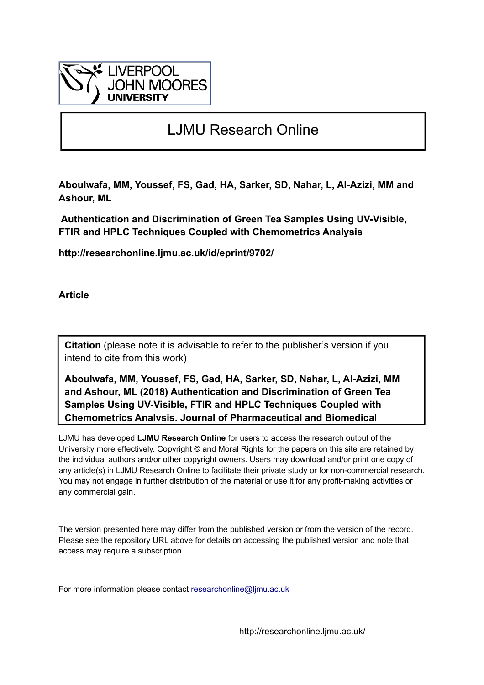

# LJMU Research Online

**Aboulwafa, MM, Youssef, FS, Gad, HA, Sarker, SD, Nahar, L, Al-Azizi, MM and Ashour, ML**

 **Authentication and Discrimination of Green Tea Samples Using UV-Visible, FTIR and HPLC Techniques Coupled with Chemometrics Analysis**

**http://researchonline.ljmu.ac.uk/id/eprint/9702/**

**Article**

**Citation** (please note it is advisable to refer to the publisher's version if you intend to cite from this work)

**Aboulwafa, MM, Youssef, FS, Gad, HA, Sarker, SD, Nahar, L, Al-Azizi, MM and Ashour, ML (2018) Authentication and Discrimination of Green Tea Samples Using UV-Visible, FTIR and HPLC Techniques Coupled with Chemometrics Analysis. Journal of Pharmaceutical and Biomedical** 

LJMU has developed **[LJMU Research Online](http://researchonline.ljmu.ac.uk/)** for users to access the research output of the University more effectively. Copyright © and Moral Rights for the papers on this site are retained by the individual authors and/or other copyright owners. Users may download and/or print one copy of any article(s) in LJMU Research Online to facilitate their private study or for non-commercial research. You may not engage in further distribution of the material or use it for any profit-making activities or any commercial gain.

The version presented here may differ from the published version or from the version of the record. Please see the repository URL above for details on accessing the published version and note that access may require a subscription.

For more information please contact researchonline@limu.ac.uk

http://researchonline.ljmu.ac.uk/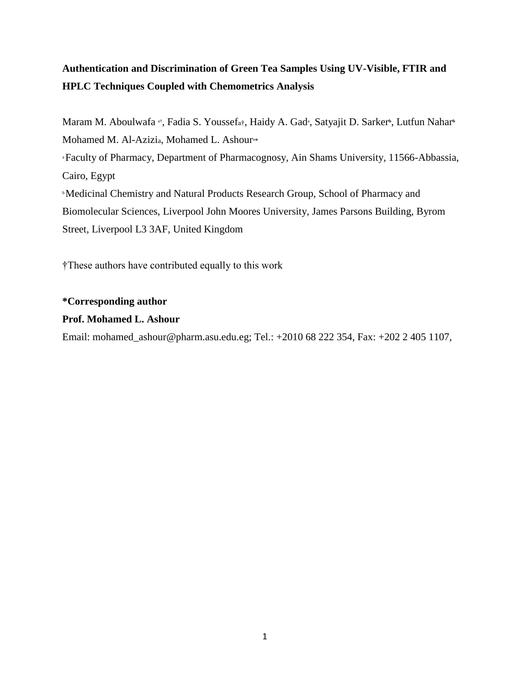# **Authentication and Discrimination of Green Tea Samples Using UV-Visible, FTIR and HPLC Techniques Coupled with Chemometrics Analysis**

Maram M. Aboulwafa <sup>at</sup>, Fadia S. Youssefa<sup>†</sup>, Haidy A. Gad<sup>a</sup>, Satyajit D. Sarker<sup>b</sup>, Lutfun Nahar<sup>b</sup> Mohamed M. Al-Azizia, Mohamed L. Ashour<sup>a\*</sup> <sup>a</sup>Faculty of Pharmacy, Department of Pharmacognosy, Ain Shams University, 11566-Abbassia, Cairo, Egypt **Medicinal Chemistry and Natural Products Research Group, School of Pharmacy and** Biomolecular Sciences, Liverpool John Moores University, James Parsons Building, Byrom Street, Liverpool L3 3AF, United Kingdom

†These authors have contributed equally to this work

# **\*Corresponding author**

# **Prof. Mohamed L. Ashour**

Email: mohamed\_ashour@pharm.asu.edu.eg; Tel.: +2010 68 222 354, Fax: +202 2 405 1107,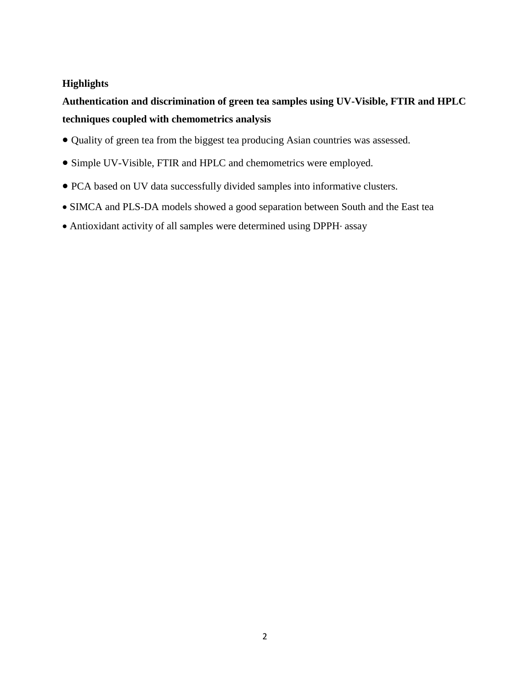# **Highlights**

# **Authentication and discrimination of green tea samples using UV-Visible, FTIR and HPLC techniques coupled with chemometrics analysis**

- Quality of green tea from the biggest tea producing Asian countries was assessed.
- Simple UV-Visible, FTIR and HPLC and chemometrics were employed.
- PCA based on UV data successfully divided samples into informative clusters.
- SIMCA and PLS-DA models showed a good separation between South and the East tea
- Antioxidant activity of all samples were determined using DPPH· assay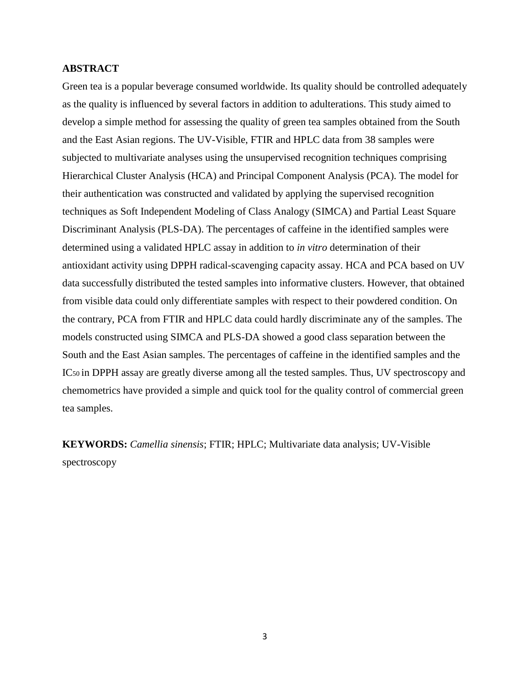# **ABSTRACT**

Green tea is a popular beverage consumed worldwide. Its quality should be controlled adequately as the quality is influenced by several factors in addition to adulterations. This study aimed to develop a simple method for assessing the quality of green tea samples obtained from the South and the East Asian regions. The UV-Visible, FTIR and HPLC data from 38 samples were subjected to multivariate analyses using the unsupervised recognition techniques comprising Hierarchical Cluster Analysis (HCA) and Principal Component Analysis (PCA). The model for their authentication was constructed and validated by applying the supervised recognition techniques as Soft Independent Modeling of Class Analogy (SIMCA) and Partial Least Square Discriminant Analysis (PLS-DA). The percentages of caffeine in the identified samples were determined using a validated HPLC assay in addition to *in vitro* determination of their antioxidant activity using DPPH radical-scavenging capacity assay. HCA and PCA based on UV data successfully distributed the tested samples into informative clusters. However, that obtained from visible data could only differentiate samples with respect to their powdered condition. On the contrary, PCA from FTIR and HPLC data could hardly discriminate any of the samples. The models constructed using SIMCA and PLS-DA showed a good class separation between the South and the East Asian samples. The percentages of caffeine in the identified samples and the IC50 in DPPH assay are greatly diverse among all the tested samples. Thus, UV spectroscopy and chemometrics have provided a simple and quick tool for the quality control of commercial green tea samples.

**KEYWORDS:** *Camellia sinensis*; FTIR; HPLC; Multivariate data analysis; UV-Visible spectroscopy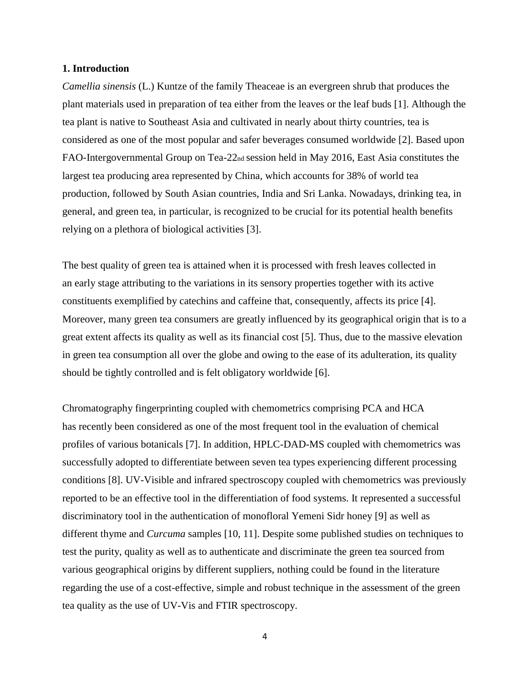#### **1. Introduction**

*Camellia sinensis* (L.) Kuntze of the family Theaceae is an evergreen shrub that produces the plant materials used in preparation of tea either from the leaves or the leaf buds [1]. Although the tea plant is native to Southeast Asia and cultivated in nearly about thirty countries, tea is considered as one of the most popular and safer beverages consumed worldwide [2]. Based upon FAO-Intergovernmental Group on Tea-22nd session held in May 2016, East Asia constitutes the largest tea producing area represented by China, which accounts for 38% of world tea production, followed by South Asian countries, India and Sri Lanka. Nowadays, drinking tea, in general, and green tea, in particular, is recognized to be crucial for its potential health benefits relying on a plethora of biological activities [3].

The best quality of green tea is attained when it is processed with fresh leaves collected in an early stage attributing to the variations in its sensory properties together with its active constituents exemplified by catechins and caffeine that, consequently, affects its price [4]. Moreover, many green tea consumers are greatly influenced by its geographical origin that is to a great extent affects its quality as well as its financial cost [5]. Thus, due to the massive elevation in green tea consumption all over the globe and owing to the ease of its adulteration, its quality should be tightly controlled and is felt obligatory worldwide [6].

Chromatography fingerprinting coupled with chemometrics comprising PCA and HCA has recently been considered as one of the most frequent tool in the evaluation of chemical profiles of various botanicals [7]. In addition, HPLC-DAD-MS coupled with chemometrics was successfully adopted to differentiate between seven tea types experiencing different processing conditions [8]. UV-Visible and infrared spectroscopy coupled with chemometrics was previously reported to be an effective tool in the differentiation of food systems. It represented a successful discriminatory tool in the authentication of monofloral Yemeni Sidr honey [9] as well as different thyme and *Curcuma* samples [10, 11]. Despite some published studies on techniques to test the purity, quality as well as to authenticate and discriminate the green tea sourced from various geographical origins by different suppliers, nothing could be found in the literature regarding the use of a cost-effective, simple and robust technique in the assessment of the green tea quality as the use of UV-Vis and FTIR spectroscopy.

<sup>4</sup>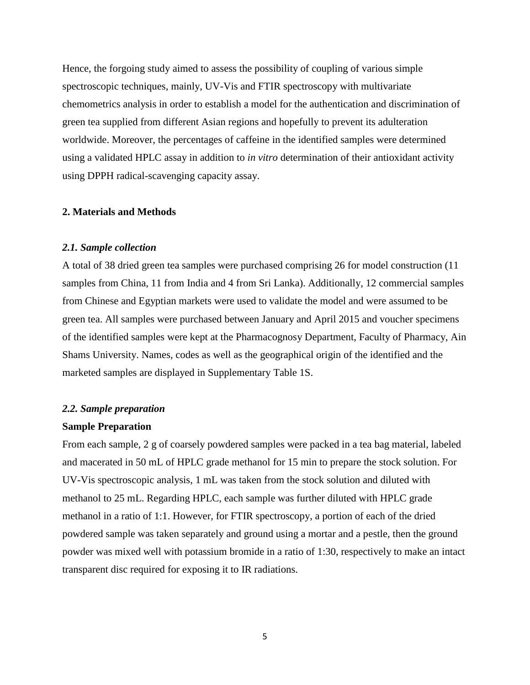Hence, the forgoing study aimed to assess the possibility of coupling of various simple spectroscopic techniques, mainly, UV-Vis and FTIR spectroscopy with multivariate chemometrics analysis in order to establish a model for the authentication and discrimination of green tea supplied from different Asian regions and hopefully to prevent its adulteration worldwide. Moreover, the percentages of caffeine in the identified samples were determined using a validated HPLC assay in addition to *in vitro* determination of their antioxidant activity using DPPH radical-scavenging capacity assay.

#### **2. Materials and Methods**

#### *2.1. Sample collection*

A total of 38 dried green tea samples were purchased comprising 26 for model construction (11 samples from China, 11 from India and 4 from Sri Lanka). Additionally, 12 commercial samples from Chinese and Egyptian markets were used to validate the model and were assumed to be green tea. All samples were purchased between January and April 2015 and voucher specimens of the identified samples were kept at the Pharmacognosy Department, Faculty of Pharmacy, Ain Shams University. Names, codes as well as the geographical origin of the identified and the marketed samples are displayed in Supplementary Table 1S.

#### *2.2. Sample preparation*

#### **Sample Preparation**

From each sample, 2 g of coarsely powdered samples were packed in a tea bag material, labeled and macerated in 50 mL of HPLC grade methanol for 15 min to prepare the stock solution. For UV-Vis spectroscopic analysis, 1 mL was taken from the stock solution and diluted with methanol to 25 mL. Regarding HPLC, each sample was further diluted with HPLC grade methanol in a ratio of 1:1. However, for FTIR spectroscopy, a portion of each of the dried powdered sample was taken separately and ground using a mortar and a pestle, then the ground powder was mixed well with potassium bromide in a ratio of 1:30, respectively to make an intact transparent disc required for exposing it to IR radiations.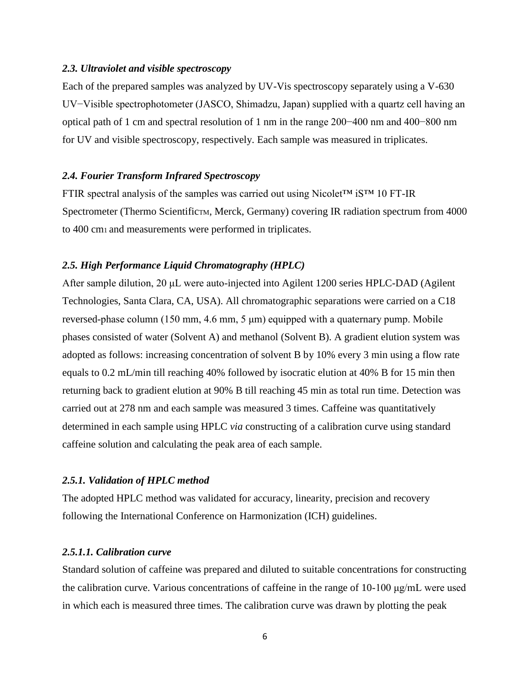#### *2.3. Ultraviolet and visible spectroscopy*

Each of the prepared samples was analyzed by UV-Vis spectroscopy separately using a V-630 UV−Visible spectrophotometer (JASCO, Shimadzu, Japan) supplied with a quartz cell having an optical path of 1 cm and spectral resolution of 1 nm in the range 200−400 nm and 400−800 nm for UV and visible spectroscopy, respectively. Each sample was measured in triplicates.

## *2.4. Fourier Transform Infrared Spectroscopy*

FTIR spectral analysis of the samples was carried out using Nicolet™ iS™ 10 FT-IR Spectrometer (Thermo ScientificTM, Merck, Germany) covering IR radiation spectrum from 4000 to 400 cm1 and measurements were performed in triplicates.

#### *2.5. High Performance Liquid Chromatography (HPLC)*

After sample dilution, 20 μL were auto-injected into Agilent 1200 series HPLC-DAD (Agilent Technologies, Santa Clara, CA, USA). All chromatographic separations were carried on a C18 reversed-phase column (150 mm, 4.6 mm, 5 μm) equipped with a quaternary pump. Mobile phases consisted of water (Solvent A) and methanol (Solvent B). A gradient elution system was adopted as follows: increasing concentration of solvent B by 10% every 3 min using a flow rate equals to 0.2 mL/min till reaching 40% followed by isocratic elution at 40% B for 15 min then returning back to gradient elution at 90% B till reaching 45 min as total run time. Detection was carried out at 278 nm and each sample was measured 3 times. Caffeine was quantitatively determined in each sample using HPLC *via* constructing of a calibration curve using standard caffeine solution and calculating the peak area of each sample.

# *2.5.1. Validation of HPLC method*

The adopted HPLC method was validated for accuracy, linearity, precision and recovery following the International Conference on Harmonization (ICH) guidelines.

# *2.5.1.1. Calibration curve*

Standard solution of caffeine was prepared and diluted to suitable concentrations for constructing the calibration curve. Various concentrations of caffeine in the range of 10-100 μg/mL were used in which each is measured three times. The calibration curve was drawn by plotting the peak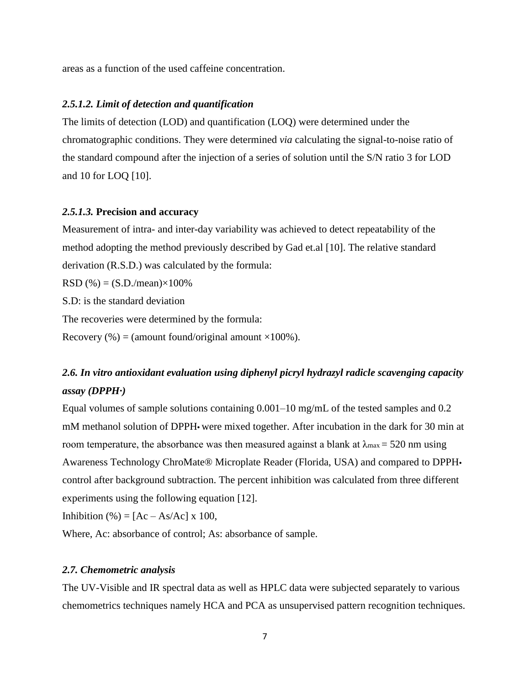areas as a function of the used caffeine concentration.

## *2.5.1.2. Limit of detection and quantification*

The limits of detection (LOD) and quantification (LOQ) were determined under the chromatographic conditions. They were determined *via* calculating the signal-to-noise ratio of the standard compound after the injection of a series of solution until the S/N ratio 3 for LOD and 10 for LOQ [10].

#### *2.5.1.3.* **Precision and accuracy**

Measurement of intra- and inter-day variability was achieved to detect repeatability of the method adopting the method previously described by Gad et.al [10]. The relative standard derivation (R.S.D.) was calculated by the formula:

RSD (%) =  $(S.D./mean) \times 100\%$ 

S.D: is the standard deviation

The recoveries were determined by the formula:

Recovery  $%$  = (amount found/original amount  $\times100%$ ).

# *2.6. In vitro antioxidant evaluation using diphenyl picryl hydrazyl radicle scavenging capacity assay (DPPH·)*

Equal volumes of sample solutions containing 0.001–10 mg/mL of the tested samples and 0.2 mM methanol solution of DPPH**•** were mixed together. After incubation in the dark for 30 min at room temperature, the absorbance was then measured against a blank at  $\lambda_{\text{max}} = 520$  nm using Awareness Technology ChroMate® Microplate Reader (Florida, USA) and compared to DPPH**•** control after background subtraction. The percent inhibition was calculated from three different experiments using the following equation [12].

Inhibition (%) =  $[Ac - As/Ac] \times 100$ ,

Where, Ac: absorbance of control; As: absorbance of sample.

### *2.7. Chemometric analysis*

The UV-Visible and IR spectral data as well as HPLC data were subjected separately to various chemometrics techniques namely HCA and PCA as unsupervised pattern recognition techniques.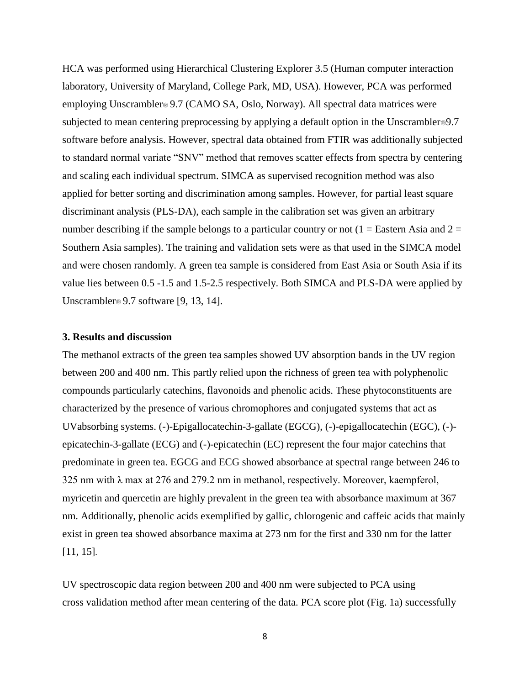HCA was performed using Hierarchical Clustering Explorer 3.5 (Human computer interaction laboratory, University of Maryland, College Park, MD, USA). However, PCA was performed employing Unscrambler® 9.7 (CAMO SA, Oslo, Norway). All spectral data matrices were subjected to mean centering preprocessing by applying a default option in the Unscrambler<sup>®9.7</sup> software before analysis. However, spectral data obtained from FTIR was additionally subjected to standard normal variate "SNV" method that removes scatter effects from spectra by centering and scaling each individual spectrum. SIMCA as supervised recognition method was also applied for better sorting and discrimination among samples. However, for partial least square discriminant analysis (PLS-DA), each sample in the calibration set was given an arbitrary number describing if the sample belongs to a particular country or not  $(1 =$  Eastern Asia and  $2 =$ Southern Asia samples). The training and validation sets were as that used in the SIMCA model and were chosen randomly. A green tea sample is considered from East Asia or South Asia if its value lies between 0.5 -1.5 and 1.5-2.5 respectively. Both SIMCA and PLS-DA were applied by Unscrambler<sup>®</sup> 9.7 software [9, 13, 14].

#### **3. Results and discussion**

The methanol extracts of the green tea samples showed UV absorption bands in the UV region between 200 and 400 nm. This partly relied upon the richness of green tea with polyphenolic compounds particularly catechins, flavonoids and phenolic acids. These phytoconstituents are characterized by the presence of various chromophores and conjugated systems that act as UVabsorbing systems. (-)-Epigallocatechin-3-gallate (EGCG), (-)-epigallocatechin (EGC), (-) epicatechin-3-gallate (ECG) and (-)-epicatechin (EC) represent the four major catechins that predominate in green tea. EGCG and ECG showed absorbance at spectral range between 246 to 325 nm with  $\lambda$  max at 276 and 279.2 nm in methanol, respectively. Moreover, kaempferol, myricetin and quercetin are highly prevalent in the green tea with absorbance maximum at 367 nm. Additionally, phenolic acids exemplified by gallic, chlorogenic and caffeic acids that mainly exist in green tea showed absorbance maxima at 273 nm for the first and 330 nm for the latter [11, 15].

UV spectroscopic data region between 200 and 400 nm were subjected to PCA using cross validation method after mean centering of the data. PCA score plot (Fig. 1a) successfully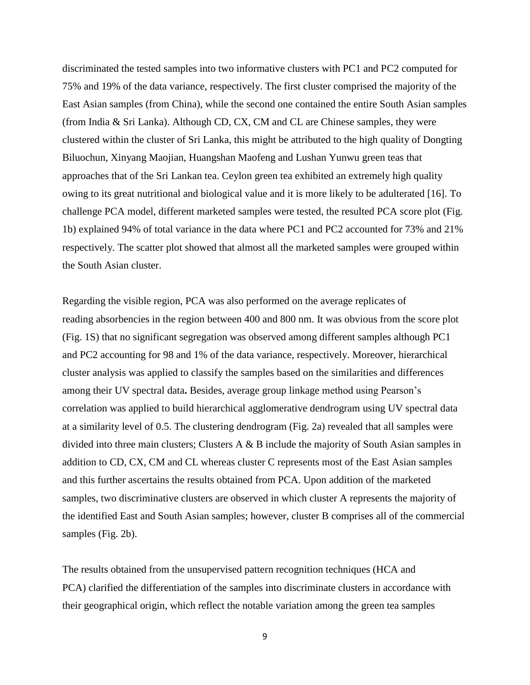discriminated the tested samples into two informative clusters with PC1 and PC2 computed for 75% and 19% of the data variance, respectively. The first cluster comprised the majority of the East Asian samples (from China), while the second one contained the entire South Asian samples (from India & Sri Lanka). Although CD, CX, CM and CL are Chinese samples, they were clustered within the cluster of Sri Lanka, this might be attributed to the high quality of Dongting Biluochun, Xinyang Maojian, Huangshan Maofeng and Lushan Yunwu green teas that approaches that of the Sri Lankan tea. Ceylon green tea exhibited an extremely high quality owing to its great nutritional and biological value and it is more likely to be adulterated [16]. To challenge PCA model, different marketed samples were tested, the resulted PCA score plot (Fig. 1b) explained 94% of total variance in the data where PC1 and PC2 accounted for 73% and 21% respectively. The scatter plot showed that almost all the marketed samples were grouped within the South Asian cluster.

Regarding the visible region, PCA was also performed on the average replicates of reading absorbencies in the region between 400 and 800 nm. It was obvious from the score plot (Fig. 1S) that no significant segregation was observed among different samples although PC1 and PC2 accounting for 98 and 1% of the data variance, respectively. Moreover, hierarchical cluster analysis was applied to classify the samples based on the similarities and differences among their UV spectral data**.** Besides, average group linkage method using Pearson's correlation was applied to build hierarchical agglomerative dendrogram using UV spectral data at a similarity level of 0.5. The clustering dendrogram (Fig. 2a) revealed that all samples were divided into three main clusters; Clusters A & B include the majority of South Asian samples in addition to CD, CX, CM and CL whereas cluster C represents most of the East Asian samples and this further ascertains the results obtained from PCA. Upon addition of the marketed samples, two discriminative clusters are observed in which cluster A represents the majority of the identified East and South Asian samples; however, cluster B comprises all of the commercial samples (Fig. 2b).

The results obtained from the unsupervised pattern recognition techniques (HCA and PCA) clarified the differentiation of the samples into discriminate clusters in accordance with their geographical origin, which reflect the notable variation among the green tea samples

9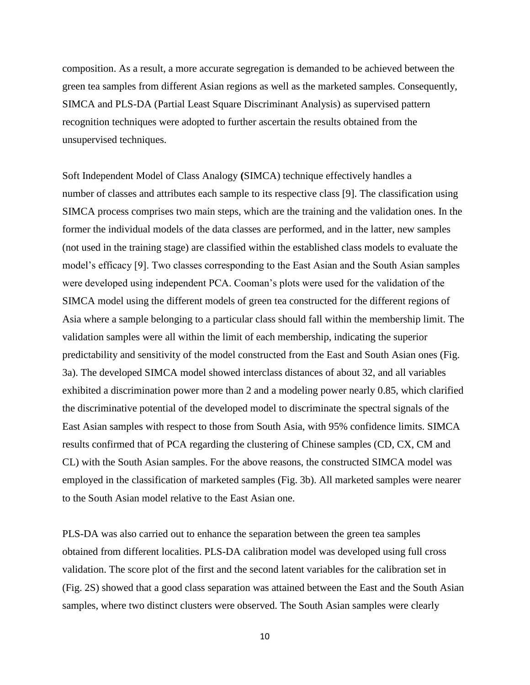composition. As a result, a more accurate segregation is demanded to be achieved between the green tea samples from different Asian regions as well as the marketed samples. Consequently, SIMCA and PLS-DA (Partial Least Square Discriminant Analysis) as supervised pattern recognition techniques were adopted to further ascertain the results obtained from the unsupervised techniques.

Soft Independent Model of Class Analogy **(**SIMCA) technique effectively handles a number of classes and attributes each sample to its respective class [9]. The classification using SIMCA process comprises two main steps, which are the training and the validation ones. In the former the individual models of the data classes are performed, and in the latter, new samples (not used in the training stage) are classified within the established class models to evaluate the model's efficacy [9]. Two classes corresponding to the East Asian and the South Asian samples were developed using independent PCA. Cooman's plots were used for the validation of the SIMCA model using the different models of green tea constructed for the different regions of Asia where a sample belonging to a particular class should fall within the membership limit. The validation samples were all within the limit of each membership, indicating the superior predictability and sensitivity of the model constructed from the East and South Asian ones (Fig. 3a). The developed SIMCA model showed interclass distances of about 32, and all variables exhibited a discrimination power more than 2 and a modeling power nearly 0.85, which clarified the discriminative potential of the developed model to discriminate the spectral signals of the East Asian samples with respect to those from South Asia, with 95% confidence limits. SIMCA results confirmed that of PCA regarding the clustering of Chinese samples (CD, CX, CM and CL) with the South Asian samples. For the above reasons, the constructed SIMCA model was employed in the classification of marketed samples (Fig. 3b). All marketed samples were nearer to the South Asian model relative to the East Asian one.

PLS-DA was also carried out to enhance the separation between the green tea samples obtained from different localities. PLS-DA calibration model was developed using full cross validation. The score plot of the first and the second latent variables for the calibration set in (Fig. 2S) showed that a good class separation was attained between the East and the South Asian samples, where two distinct clusters were observed. The South Asian samples were clearly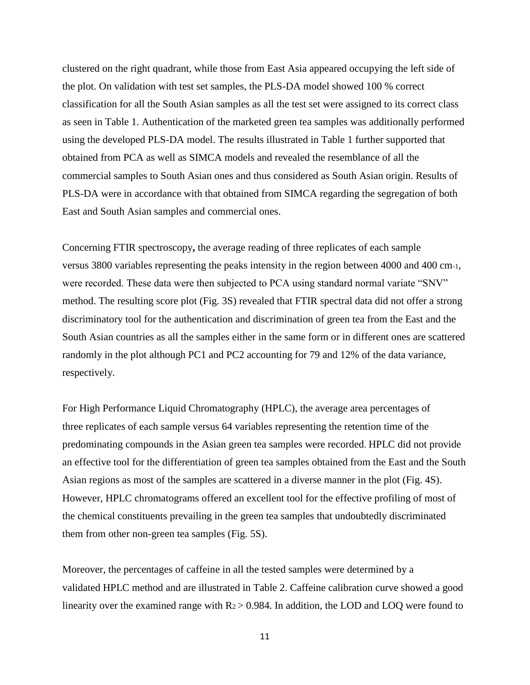clustered on the right quadrant, while those from East Asia appeared occupying the left side of the plot. On validation with test set samples, the PLS-DA model showed 100 % correct classification for all the South Asian samples as all the test set were assigned to its correct class as seen in Table 1. Authentication of the marketed green tea samples was additionally performed using the developed PLS-DA model. The results illustrated in Table 1 further supported that obtained from PCA as well as SIMCA models and revealed the resemblance of all the commercial samples to South Asian ones and thus considered as South Asian origin. Results of PLS-DA were in accordance with that obtained from SIMCA regarding the segregation of both East and South Asian samples and commercial ones.

Concerning FTIR spectroscopy**,** the average reading of three replicates of each sample versus 3800 variables representing the peaks intensity in the region between 4000 and 400 cm-1, were recorded. These data were then subjected to PCA using standard normal variate "SNV" method. The resulting score plot (Fig. 3S) revealed that FTIR spectral data did not offer a strong discriminatory tool for the authentication and discrimination of green tea from the East and the South Asian countries as all the samples either in the same form or in different ones are scattered randomly in the plot although PC1 and PC2 accounting for 79 and 12% of the data variance, respectively.

For High Performance Liquid Chromatography (HPLC), the average area percentages of three replicates of each sample versus 64 variables representing the retention time of the predominating compounds in the Asian green tea samples were recorded. HPLC did not provide an effective tool for the differentiation of green tea samples obtained from the East and the South Asian regions as most of the samples are scattered in a diverse manner in the plot (Fig. 4S). However, HPLC chromatograms offered an excellent tool for the effective profiling of most of the chemical constituents prevailing in the green tea samples that undoubtedly discriminated them from other non-green tea samples (Fig. 5S).

Moreover, the percentages of caffeine in all the tested samples were determined by a validated HPLC method and are illustrated in Table 2. Caffeine calibration curve showed a good linearity over the examined range with  $R_2 > 0.984$ . In addition, the LOD and LOQ were found to

11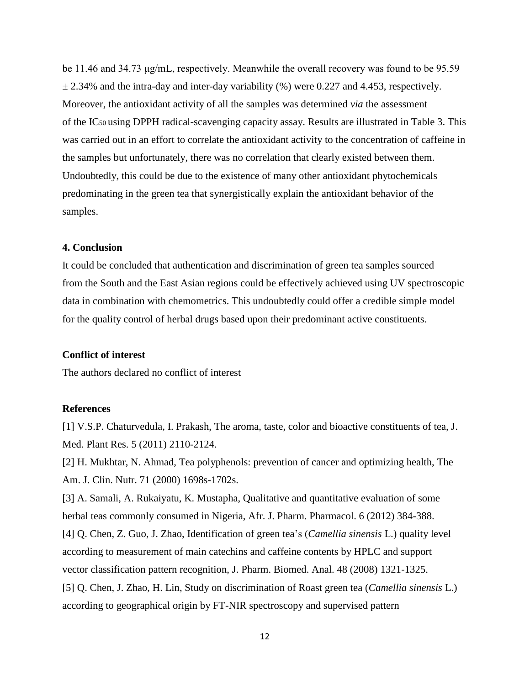be 11.46 and 34.73 μg/mL, respectively. Meanwhile the overall recovery was found to be 95.59  $\pm$  2.34% and the intra-day and inter-day variability (%) were 0.227 and 4.453, respectively. Moreover, the antioxidant activity of all the samples was determined *via* the assessment of the IC50 using DPPH radical-scavenging capacity assay. Results are illustrated in Table 3. This was carried out in an effort to correlate the antioxidant activity to the concentration of caffeine in the samples but unfortunately, there was no correlation that clearly existed between them. Undoubtedly, this could be due to the existence of many other antioxidant phytochemicals predominating in the green tea that synergistically explain the antioxidant behavior of the samples.

# **4. Conclusion**

It could be concluded that authentication and discrimination of green tea samples sourced from the South and the East Asian regions could be effectively achieved using UV spectroscopic data in combination with chemometrics. This undoubtedly could offer a credible simple model for the quality control of herbal drugs based upon their predominant active constituents.

#### **Conflict of interest**

The authors declared no conflict of interest

#### **References**

[1] V.S.P. Chaturvedula, I. Prakash, The aroma, taste, color and bioactive constituents of tea, J. Med. Plant Res. 5 (2011) 2110-2124.

[2] H. Mukhtar, N. Ahmad, Tea polyphenols: prevention of cancer and optimizing health, The Am. J. Clin. Nutr. 71 (2000) 1698s-1702s.

[3] A. Samali, A. Rukaiyatu, K. Mustapha, Qualitative and quantitative evaluation of some herbal teas commonly consumed in Nigeria, Afr. J. Pharm. Pharmacol. 6 (2012) 384-388. [4] Q. Chen, Z. Guo, J. Zhao, Identification of green tea's (*Camellia sinensis* L.) quality level

according to measurement of main catechins and caffeine contents by HPLC and support vector classification pattern recognition, J. Pharm. Biomed. Anal. 48 (2008) 1321-1325.

[5] Q. Chen, J. Zhao, H. Lin, Study on discrimination of Roast green tea (*Camellia sinensis* L.) according to geographical origin by FT-NIR spectroscopy and supervised pattern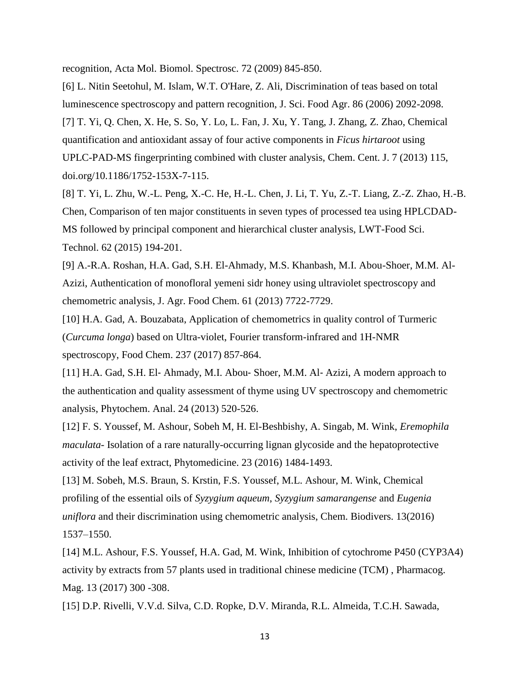recognition, Acta Mol. Biomol. Spectrosc. 72 (2009) 845-850.

[6] L. Nitin Seetohul, M. Islam, W.T. O'Hare, Z. Ali, Discrimination of teas based on total luminescence spectroscopy and pattern recognition, J. Sci. Food Agr. 86 (2006) 2092-2098. [7] T. Yi, Q. Chen, X. He, S. So, Y. Lo, L. Fan, J. Xu, Y. Tang, J. Zhang, Z. Zhao, Chemical quantification and antioxidant assay of four active components in *Ficus hirtaroot* using UPLC-PAD-MS fingerprinting combined with cluster analysis, Chem. Cent. J. 7 (2013) 115, doi.org/10.1186/1752-153X-7-115.

[8] T. Yi, L. Zhu, W.-L. Peng, X.-C. He, H.-L. Chen, J. Li, T. Yu, Z.-T. Liang, Z.-Z. Zhao, H.-B. Chen, Comparison of ten major constituents in seven types of processed tea using HPLCDAD-MS followed by principal component and hierarchical cluster analysis, LWT-Food Sci. Technol. 62 (2015) 194-201.

[9] A.-R.A. Roshan, H.A. Gad, S.H. El-Ahmady, M.S. Khanbash, M.I. Abou-Shoer, M.M. Al-Azizi, Authentication of monofloral yemeni sidr honey using ultraviolet spectroscopy and chemometric analysis, J. Agr. Food Chem. 61 (2013) 7722-7729.

[10] H.A. Gad, A. Bouzabata, Application of chemometrics in quality control of Turmeric (*Curcuma longa*) based on Ultra-violet, Fourier transform-infrared and 1H-NMR spectroscopy, Food Chem. 237 (2017) 857-864.

[11] H.A. Gad, S.H. El‐ Ahmady, M.I. Abou‐ Shoer, M.M. Al‐ Azizi, A modern approach to the authentication and quality assessment of thyme using UV spectroscopy and chemometric analysis, Phytochem. Anal. 24 (2013) 520-526.

[12] F. S. Youssef, M. Ashour, Sobeh M, H. El-Beshbishy, A. Singab, M. Wink, *Eremophila maculata*- Isolation of a rare naturally-occurring lignan glycoside and the hepatoprotective activity of the leaf extract, Phytomedicine. 23 (2016) 1484-1493.

[13] M. Sobeh, M.S. Braun, S. Krstin, F.S. Youssef, M.L. Ashour, M. Wink, Chemical profiling of the essential oils of *Syzygium aqueum*, *Syzygium samarangense* and *Eugenia uniflora* and their discrimination using chemometric analysis, Chem. Biodivers. 13(2016) 1537–1550.

[14] M.L. Ashour, F.S. Youssef, H.A. Gad, M. Wink, Inhibition of cytochrome P450 (CYP3A4) activity by extracts from 57 plants used in traditional chinese medicine (TCM) , Pharmacog. Mag. 13 (2017) 300 -308.

[15] D.P. Rivelli, V.V.d. Silva, C.D. Ropke, D.V. Miranda, R.L. Almeida, T.C.H. Sawada,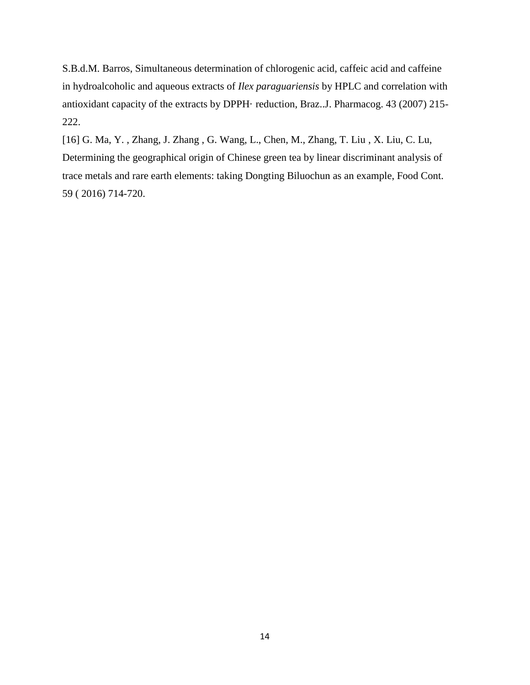S.B.d.M. Barros, Simultaneous determination of chlorogenic acid, caffeic acid and caffeine in hydroalcoholic and aqueous extracts of *Ilex paraguariensis* by HPLC and correlation with antioxidant capacity of the extracts by DPPH· reduction, Braz..J. Pharmacog. 43 (2007) 215- 222.

[16] G. Ma, Y. , Zhang, J. Zhang , G. Wang, L., Chen, M., Zhang, T. Liu , X. Liu, C. Lu, Determining the geographical origin of Chinese green tea by linear discriminant analysis of trace metals and rare earth elements: taking Dongting Biluochun as an example, Food Cont. 59 ( 2016) 714-720.